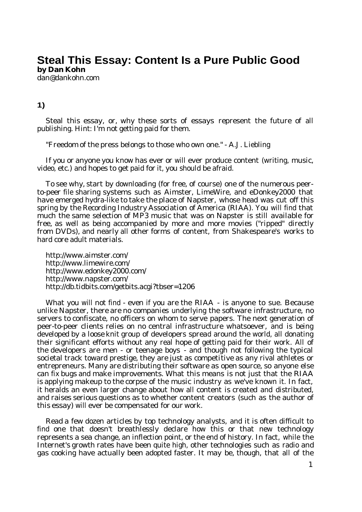# **Steal This Essay: Content Is a Pure Public Good by Dan Kohn**

[dan@dankohn.com](mailto:dan@dankohn.com)

# **1)**

Steal this essay, or, why these sorts of essays represent the future of all publishing. Hint: I'm not getting paid for them.

"Freedom of the press belongs to those who own one." - A.J. Liebling

If you or anyone you know has ever or will ever produce content (writing, music, video, etc.) and hopes to get paid for it, you should be afraid.

To see why, start by downloading (for free, of course) one of the numerous peerto-peer file sharing systems such as Aimster, LimeWire, and eDonkey2000 that have emerged hydra-like to take the place of Napster, whose head was cut off this spring by the Recording Industry Association of America (RIAA). You will find that much the same selection of MP3 music that was on Napster is still available for free, as well as being accompanied by more and more movies ("ripped" directly from DVDs), and nearly all other forms of content, from Shakespeare's works to hard core adult materials.

<http://www.aimster.com/> <http://www.limewire.com/> <http://www.edonkey2000.com/> <http://www.napster.com/> <http://db.tidbits.com/getbits.acgi>?tbser=1206

What you will not find - even if you are the RIAA - is anyone to sue. Because unlike Napster, there are no companies underlying the software infrastructure, no servers to confiscate, no officers on whom to serve papers. The next generation of peer-to-peer clients relies on no central infrastructure whatsoever, and is being developed by a loose knit group of developers spread around the world, all donating their significant efforts without any real hope of getting paid for their work. All of the developers are men - or teenage boys - and though not following the typical societal track toward prestige, they are just as competitive as any rival athletes or entrepreneurs. Many are distributing their software as open source, so anyone else can fix bugs and make improvements. What this means is not just that the RIAA is applying makeup to the corpse of the music industry as we've known it. In fact, it heralds an even larger change about how all content is created and distributed, and raises serious questions as to whether content creators (such as the author of this essay) will ever be compensated for our work.

Read a few dozen articles by top technology analysts, and it is often difficult to find one that doesn't breathlessly declare how this or that new technology represents a sea change, an inflection point, or the end of history. In fact, while the Internet's growth rates have been quite high, other technologies such as radio and gas cooking have actually been adopted faster. It may be, though, that all of the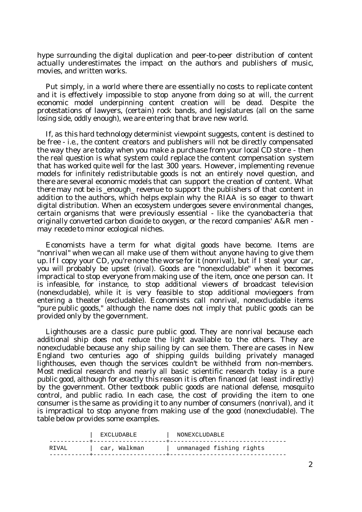hype surrounding the digital duplication and peer-to-peer distribution of content actually underestimates the impact on the authors and publishers of music, movies, and written works.

Put simply, in a world where there are essentially no costs to replicate content and it is effectively impossible to stop anyone from doing so at will, the current economic model underpinning content creation will be dead. Despite the protestations of lawyers, (certain) rock bands, and legislatures (all on the same losing side, oddly enough), we are entering that brave new world.

If, as this hard technology determinist viewpoint suggests, content is destined to be free - i.e., the content creators and publishers will not be directly compensated the way they are today when you make a purchase from your local CD store - then the real question is what system could replace the content compensation system that has worked quite well for the last 300 years. However, implementing revenue models for infinitely redistributable goods is not an entirely novel question, and there are several economic models that can support the creation of content. What there may not be is enough revenue to support the publishers of that content in addition to the authors, which helps explain why the RIAA is so eager to thwart digital distribution. When an ecosystem undergoes severe environmental changes, certain organisms that were previously essential - like the cyanobacteria that originally converted carbon dioxide to oxygen, or the record companies' A&R men may recede to minor ecological niches.

Economists have a term for what digital goods have become. Items are "nonrival" when we can all make use of them without anyone having to give them up. If I copy your CD, you're none the worse for it (nonrival), but if I steal your car, you will probably be upset (rival). Goods are "nonexcludable" when it becomes impractical to stop everyone from making use of the item, once one person can. It is infeasible, for instance, to stop additional viewers of broadcast television (nonexcludable), while it is very feasible to stop additional moviegoers from entering a theater (excludable). Economists call nonrival, nonexcludable items "pure public goods," although the name does not imply that public goods can be provided only by the government.

Lighthouses are a classic pure public good. They are nonrival because each additional ship does not reduce the light available to the others. They are nonexcludable because any ship sailing by can see them. There are cases in New England two centuries ago of shipping guilds building privately managed lighthouses, even though the services couldn't be withheld from non-members. Most medical research and nearly all basic scientific research today is a pure public good, although for exactly this reason it is often financed (at least indirectly) by the government. Other textbook public goods are national defense, mosquito control, and public radio. In each case, the cost of providing the item to one consumer is the same as providing it to any number of consumers (nonrival), and it is impractical to stop anyone from making use of the good (nonexcludable). The table below provides some examples.

|         | EXCLUDABLE   | NONEXCLUDABLE            |
|---------|--------------|--------------------------|
| R TVAI. | car, Walkman | unmanaged fishing rights |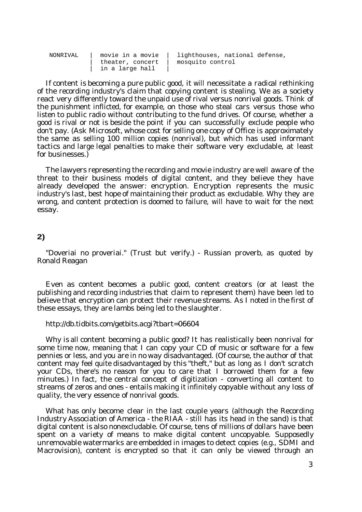| NONRIVAL | movie in a movie<br>theater, concert | lighthouses, national defense,<br>mosquito control |
|----------|--------------------------------------|----------------------------------------------------|
|          | in a large hall                      |                                                    |

If content is becoming a pure public good, it will necessitate a radical rethinking of the recording industry's claim that copying content is stealing. We as a society react very differently toward the unpaid use of rival versus nonrival goods. Think of the punishment inflicted, for example, on those who steal cars versus those who listen to public radio without contributing to the fund drives. Of course, whether a good is rival or not is beside the point if you can successfully exclude people who don't pay. (Ask Microsoft, whose cost for selling one copy of Office is approximately the same as selling 100 million copies (nonrival), but which has used informant tactics and large legal penalties to make their software very excludable, at least for businesses.)

The lawyers representing the recording and movie industry are well aware of the threat to their business models of digital content, and they believe they have already developed the answer: encryption. Encryption represents the music industry's last, best hope of maintaining their product as excludable. Why they are wrong, and content protection is doomed to failure, will have to wait for the next essay.

## **2)**

"Doveriai no proveriai." (Trust but verify.) - Russian proverb, as quoted by Ronald Reagan

Even as content becomes a public good, content creators (or at least the publishing and recording industries that claim to represent them) have been led to believe that encryption can protect their revenue streams. As I noted in the first of these essays, they are lambs being led to the slaughter.

#### <http://db.tidbits.com/getbits.acgi>?tbart=06604

Why is all content becoming a public good? It has realistically been nonrival for some time now, meaning that I can copy your CD of music or software for a few pennies or less, and you are in no way disadvantaged. (Of course, the author of that content may feel quite disadvantaged by this "theft," but as long as I don't scratch your CDs, there's no reason for you to care that I borrowed them for a few minutes.) In fact, the central concept of digitization - converting all content to streams of zeros and ones - entails making it infinitely copyable without any loss of quality, the very essence of nonrival goods.

What has only become clear in the last couple years (although the Recording Industry Association of America - the RIAA - still has its head in the sand) is that digital content is also nonexcludable. Of course, tens of millions of dollars have been spent on a variety of means to make digital content uncopyable. Supposedly unremovable watermarks are embedded in images to detect copies (e.g., SDMI and Macrovision), content is encrypted so that it can only be viewed through an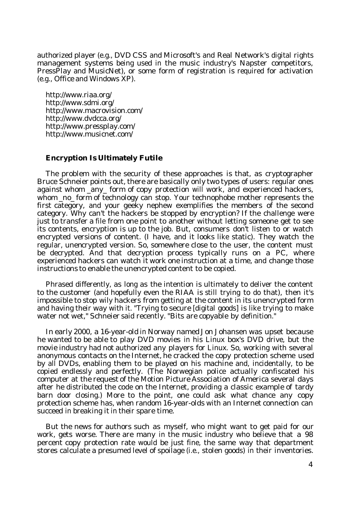authorized player (e.g., DVD CSS and Microsoft's and Real Network's digital rights management systems being used in the music industry's Napster competitors, PressPlay and MusicNet), or some form of registration is required for activation (e.g., Office and Windows XP).

<http://www.riaa.org/> <http://www.sdmi.org/> <http://www.macrovision.com/> <http://www.dvdcca.org/> <http://www.pressplay.com/> <http://www.musicnet.com/>

### **Encryption Is Ultimately Futile**

The problem with the security of these approaches is that, as cryptographer Bruce Schneier points out, there are basically only two types of users: regular ones against whom any form of copy protection will work, and experienced hackers, whom no form of technology can stop. Your technophobe mother represents the first category, and your geeky nephew exemplifies the members of the second category. Why can't the hackers be stopped by encryption? If the challenge were just to transfer a file from one point to another without letting someone get to see its contents, encryption is up to the job. But, consumers don't listen to or watch encrypted versions of content. (I have, and it looks like static). They watch the regular, unencrypted version. So, somewhere close to the user, the content must be decrypted. And that decryption process typically runs on a PC, where experienced hackers can watch it work one instruction at a time, and change those instructions to enable the unencrypted content to be copied.

Phrased differently, as long as the intention is ultimately to deliver the content to the customer (and hopefully even the RIAA is still trying to do that), then it's impossible to stop wily hackers from getting at the content in its unencrypted form and having their way with it. "Trying to secure [digital goods] is like trying to make water not wet," Schneier said recently. "Bits are copyable by definition."

In early 2000, a 16-year-old in Norway named Jon Johansen was upset because he wanted to be able to play DVD movies in his Linux box's DVD drive, but the movie industry had not authorized any players for Linux. So, working with several anonymous contacts on the Internet, he cracked the copy protection scheme used by all DVDs, enabling them to be played on his machine and, incidentally, to be copied endlessly and perfectly. (The Norwegian police actually confiscated his computer at the request of the Motion Picture Association of America several days after he distributed the code on the Internet, providing a classic example of tardy barn door closing.) More to the point, one could ask what chance any copy protection scheme has, when random 16-year-olds with an Internet connection can succeed in breaking it in their spare time.

But the news for authors such as myself, who might want to get paid for our work, gets worse. There are many in the music industry who believe that a 98 percent copy protection rate would be just fine, the same way that department stores calculate a presumed level of spoilage (i.e., stolen goods) in their inventories.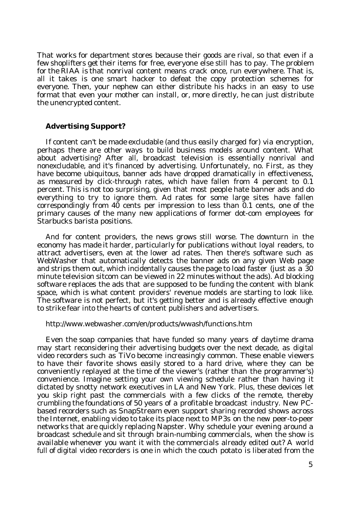That works for department stores because their goods are rival, so that even if a few shoplifters get their items for free, everyone else still has to pay. The problem for the RIAA is that nonrival content means crack once, run everywhere. That is, all it takes is one smart hacker to defeat the copy protection schemes for everyone. Then, your nephew can either distribute his hacks in an easy to use format that even your mother can install, or, more directly, he can just distribute the unencrypted content.

#### **Advertising Support?**

If content can't be made excludable (and thus easily charged for) via encryption, perhaps there are other ways to build business models around content. What about advertising? After all, broadcast television is essentially nonrival and nonexcludable, and it's financed by advertising. Unfortunately, no. First, as they have become ubiquitous, banner ads have dropped dramatically in effectiveness, as measured by click-through rates, which have fallen from 4 percent to 0.1 percent. This is not too surprising, given that most people hate banner ads and do everything to try to ignore them. Ad rates for some large sites have fallen correspondingly from  $40$  cents per impression to less than  $0.1$  cents, one of the primary causes of the many new applications of former dot-com employees for Starbucks barista positions.

And for content providers, the news grows still worse. The downturn in the economy has made it harder, particularly for publications without loyal readers, to attract advertisers, even at the lower ad rates. Then there's software such as WebWasher that automatically detects the banner ads on any given Web page and strips them out, which incidentally causes the page to load faster (just as a 30 minute television sitcom can be viewed in 22 minutes without the ads). Ad blocking software replaces the ads that are supposed to be funding the content with blank space, which is what content providers' revenue models are starting to look like. The software is not perfect, but it's getting better and is already effective enough to strike fear into the hearts of content publishers and advertisers.

#### <http://www.webwasher.com/en/products/wwash/functions.htm>

Even the soap companies that have funded so many years of daytime drama may start reconsidering their advertising budgets over the next decade, as digital video recorders such as TiVo become increasingly common. These enable viewers to have their favorite shows easily stored to a hard drive, where they can be conveniently replayed at the time of the viewer's (rather than the programmer's) convenience. Imagine setting your own viewing schedule rather than having it dictated by snotty network executives in LA and New York. Plus, these devices let you skip right past the commercials with a few clicks of the remote, thereby crumbling the foundations of 50 years of a profitable broadcast industry. New PCbased recorders such as SnapStream even support sharing recorded shows across the Internet, enabling video to take its place next to MP3s on the new peer-to-peer networks that are quickly replacing Napster. Why schedule your evening around a broadcast schedule and sit through brain-numbing commercials, when the show is available whenever you want it with the commercials already edited out? A world full of digital video recorders is one in which the couch potato is liberated from the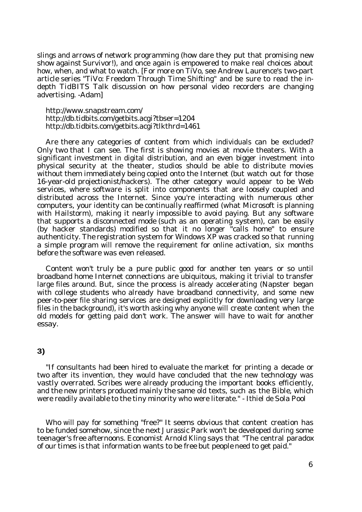slings and arrows of network programming (how dare they put that promising new show against Survivor!), and once again is empowered to make real choices about how, when, and what to watch. [For more on TiVo, see Andrew Laurence's two-part article series "TiVo: Freedom Through Time Shifting" and be sure to read the indepth *TidBITS* Talk discussion on how personal video recorders are changing advertising. -Adam]

<http://www.snapstream.com/> <http://db.tidbits.com/getbits.acgi>?tbser=1204 <http://db.tidbits.com/getbits.acgi>?tlkthrd=1461

Are there any categories of content from which individuals can be excluded? Only two that  $\overline{I}$  can see. The first is showing movies at movie theaters. With a significant investment in digital distribution, and an even bigger investment into physical security at the theater, studios should be able to distribute movies without them immediately being copied onto the Internet (but watch out for those 16-year-old projectionist/hackers). The other category would appear to be Web services, where software is split into components that are loosely coupled and distributed across the Internet. Since you're interacting with numerous other computers, your identity can be continually reaffirmed (what Microsoft is planning with Hailstorm), making it nearly impossible to avoid paying. But any software that supports a disconnected mode (such as an operating system), can be easily (by hacker standards) modified so that it no longer "calls home" to ensure authenticity. The registration system for Windows XP was cracked so that running a simple program will remove the requirement for online activation, six months before the software was even released.

Content won't truly be a pure public good for another ten years or so until broadband home Internet connections are ubiquitous, making it trivial to transfer large files around. But, since the process is already accelerating (Napster began with college students who already have broadband connectivity, and some new peer-to-peer file sharing services are designed explicitly for downloading very large files in the background), it's worth asking why anyone will create content when the old models for getting paid don't work. The answer will have to wait for another essay.

## **3)**

"If consultants had been hired to evaluate the market for printing a decade or two after its invention, they would have concluded that the new technology was vastly overrated. Scribes were already producing the important books efficiently, and the new printers produced mainly the same old texts, such as the *Bible*, which were readily available to the tiny minority who were literate." - Ithiel de Sola Pool

Who will pay for something "free?" It seems obvious that content creation has to be funded somehow, since the next *Jurassic Park* won't be developed during some teenager's free afternoons. Economist Arnold Kling says that "The central paradox of our times is that information wants to be free but people need to get paid."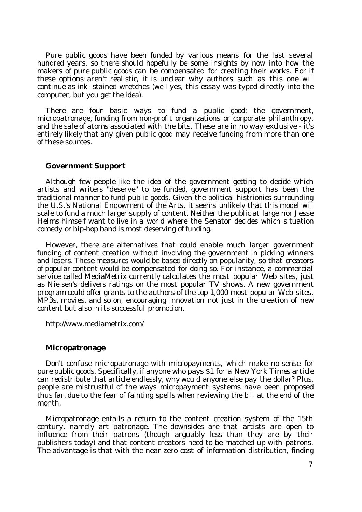Pure public goods have been funded by various means for the last several hundred years, so there should hopefully be some insights by now into how the makers of pure public goods can be compensated for creating their works. For if these options aren't realistic, it is unclear why authors such as this one will continue as ink- stained wretches (well yes, this essay was typed directly into the computer, but you get the idea).

There are four basic ways to fund a public good: the government, micropatronage, funding from non-profit organizations or corporate philanthropy, and the sale of atoms associated with the bits. These are in no way exclusive - it's entirely likely that any given public good may receive funding from more than one of these sources.

#### **Government Support**

Although few people like the idea of the government getting to decide which artists and writers "deserve" to be funded, government support has been the traditional manner to fund public goods. Given the political histrionics surrounding the U.S.'s National Endowment of the Arts, it seems unlikely that this model will scale to fund a much larger supply of content. Neither the public at large nor Jesse Helms himself want to live in a world where the Senator decides which situation comedy or hip-hop band is most deserving of funding.

However, there are alternatives that could enable much larger government funding of content creation without involving the government in picking winners and losers. These measures would be based directly on popularity, so that creators of popular content would be compensated for doing so. For instance, a commercial service called MediaMetrix currently calculates the most popular Web sites, just as Nielsen's delivers ratings on the most popular TV shows. A new government program could offer grants to the authors of the top 1,000 most popular Web sites, MP3s, movies, and so on, encouraging innovation not just in the creation of new content but also in its successful promotion.

<http://www.mediametrix.com/>

#### **Micropatronage**

Don't confuse micropatronage with micropayments, which make no sense for pure public goods. Specifically, if anyone who pays \$1 for a *New York Times* article can redistribute that article endlessly, why would anyone else pay the dollar? Plus, people are mistrustful of the ways micropayment systems have been proposed thus far, due to the fear of fainting spells when reviewing the bill at the end of the month.

Micropatronage entails a return to the content creation system of the 15th century, namely art patronage. The downsides are that artists are open to influence from their patrons (though arguably less than they are by their publishers today) and that content creators need to be matched up with patrons. The advantage is that with the near-zero cost of information distribution, finding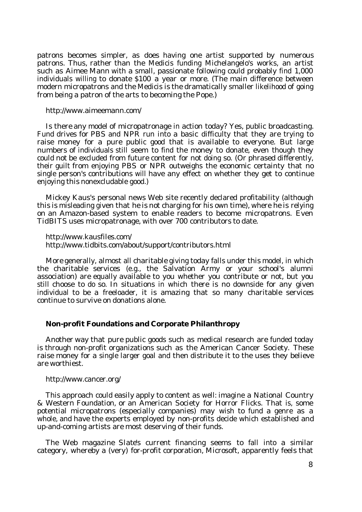patrons becomes simpler, as does having one artist supported by numerous patrons. Thus, rather than the Medicis funding Michelangelo's works, an artist such as Aimee Mann with a small, passionate following could probably find 1,000 individuals willing to donate \$100 a year or more. (The main difference between modern micropatrons and the Medicis is the dramatically smaller likelihood of going from being a patron of the arts to becoming the Pope.)

<http://www.aimeemann.com/>

Is there any model of micropatronage in action today? Yes, public broadcasting. Fund drives for PBS and NPR run into a basic difficulty that they are trying to raise money for a pure public good that is available to everyone. But large numbers of individuals still seem to find the money to donate, even though they could not be excluded from future content for not doing so. (Or phrased differently, their guilt from enjoying PBS or NPR outweighs the economic certainty that no single person's contributions will have any effect on whether they get to continue enjoying this nonexcludable good.)

Mickey Kaus's personal news Web site recently declared profitability (although this is misleading given that he is not charging for his own time), where he is relying on an Amazon-based system to enable readers to become micropatrons. Even *TidBITS* uses micropatronage, with over 700 contributors to date.

<http://www.kausfiles.com/> <http://www.tidbits.com/about/support/contributors.html>

More generally, almost all charitable giving today falls under this model, in which the charitable services (e.g., the Salvation Army or your school's alumni association) are equally available to you whether you contribute or not, but you still choose to do so. In situations in which there is no downside for any given individual to be a freeloader, it is amazing that so many charitable services continue to survive on donations alone.

#### **Non-profit Foundations and Corporate Philanthropy**

Another way that pure public goods such as medical research are funded today is through non-profit organizations such as the American Cancer Society. These raise money for a single larger goal and then distribute it to the uses they believe are worthiest.

<http://www.cancer.org/>

This approach could easily apply to content as well: imagine a National Country & Western Foundation, or an American Society for Horror Flicks. That is, some potential micropatrons (especially companies) may wish to fund a genre as a whole, and have the experts employed by non-profits decide which established and up-and-coming artists are most deserving of their funds.

The Web magazine *Slate*'s current financing seems to fall into a similar category, whereby a (very) for-profit corporation, Microsoft, apparently feels that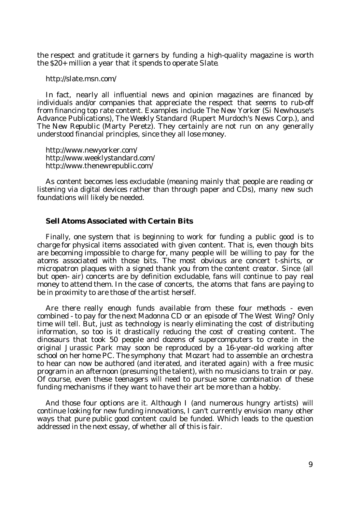the respect and gratitude it garners by funding a high-quality magazine is worth the \$20+ million a year that it spends to operate *Slate*.

<http://slate.msn.com/>

In fact, nearly all influential news and opinion magazines are financed by individuals and/or companies that appreciate the respect that seems to rub-off from financing top rate content. Examples include *The New Yorker* (Si Newhouse's Advance Publications), *The Weekly Standard* (Rupert Murdoch's News Corp.), and *The New Republic* (Marty Peretz). They certainly are not run on any generally understood financial principles, since they all lose money.

<http://www.newyorker.com/> <http://www.weeklystandard.com/> <http://www.thenewrepublic.com/>

As content becomes less excludable (meaning mainly that people are reading or listening via digital devices rather than through paper and CDs), many new such foundations will likely be needed.

#### **Sell Atoms Associated with Certain Bits**

Finally, one system that is beginning to work for funding a public good is to charge for physical items associated with given content. That is, even though bits are becoming impossible to charge for, many people will be willing to pay for the atoms associated with those bits. The most obvious are concert t-shirts, or micropatron plaques with a signed thank you from the content creator. Since (all but open- air) concerts are by definition excludable, fans will continue to pay real money to attend them. In the case of concerts, the atoms that fans are paying to be in proximity to are those of the artist herself.

Are there really enough funds available from these four methods - even combined - to pay for the next Madonna CD or an episode of The West Wing? Only time will tell. But, just as technology is nearly eliminating the cost of distributing information, so too is it drastically reducing the cost of creating content. The dinosaurs that took 50 people and dozens of supercomputers to create in the original *Jurassic Park* may soon be reproduced by a 16-year-old working after school on her home PC. The symphony that Mozart had to assemble an orchestra to hear can now be authored (and iterated, and iterated again) with a free music program in an afternoon (presuming the talent), with no musicians to train or pay. Of course, even these teenagers will need to pursue some combination of these funding mechanisms if they want to have their art be more than a hobby.

And those four options are it. Although I (and numerous hungry artists) will continue looking for new funding innovations, I can't currently envision many other ways that pure public good content could be funded. Which leads to the question addressed in the next essay, of whether all of this is fair.